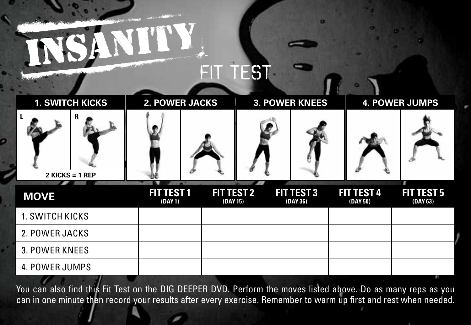## FIT TEST

| <b>1. SWITCH KICKS</b> | <b>2. POWER JACKS</b>        |                               | <b>3. POWER KNEES</b>         | <b>4. POWER JUMPS</b>         |                                    |
|------------------------|------------------------------|-------------------------------|-------------------------------|-------------------------------|------------------------------------|
| R<br>$2$ KICKS = 1 REP |                              |                               |                               |                               |                                    |
| <b>MOVE</b>            | <b>FIT TEST 1</b><br>(DAY 1) | <b>FIT TEST 2</b><br>(DAY 15) | <b>FIT TEST 3</b><br>(DAY 36) | <b>FIT TEST 4</b><br>(DAY 50) | п<br><b>FIT TEST 5</b><br>(DAY 63) |
| 1. SWITCH KICKS        |                              |                               |                               |                               |                                    |
| 2. POWER JACKS         |                              |                               |                               |                               |                                    |
| 3. POWER KNEES         |                              |                               |                               |                               |                                    |
| <b>4. POWER JUMPS</b>  |                              |                               |                               |                               |                                    |

ø

You can also find this Fit Test on the DIG DEEPER DVD. Perform the moves listed above. Do as many reps as you can in one minute then record your results after every exercise. Remember to warm up first and rest when needed.